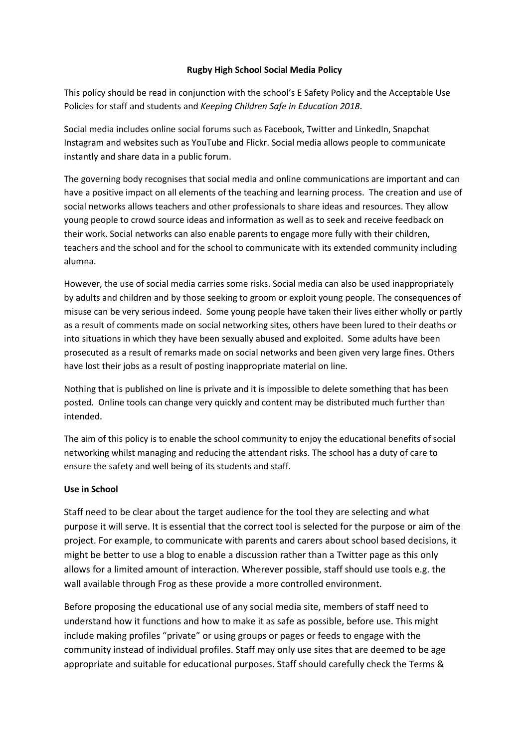#### **Rugby High School Social Media Policy**

This policy should be read in conjunction with the school's E Safety Policy and the Acceptable Use Policies for staff and students and *Keeping Children Safe in Education 2018*.

Social media includes online social forums such as Facebook, Twitter and LinkedIn, Snapchat Instagram and websites such as YouTube and Flickr. Social media allows people to communicate instantly and share data in a public forum.

The governing body recognises that social media and online communications are important and can have a positive impact on all elements of the teaching and learning process. The creation and use of social networks allows teachers and other professionals to share ideas and resources. They allow young people to crowd source ideas and information as well as to seek and receive feedback on their work. Social networks can also enable parents to engage more fully with their children, teachers and the school and for the school to communicate with its extended community including alumna.

However, the use of social media carries some risks. Social media can also be used inappropriately by adults and children and by those seeking to groom or exploit young people. The consequences of misuse can be very serious indeed. Some young people have taken their lives either wholly or partly as a result of comments made on social networking sites, others have been lured to their deaths or into situations in which they have been sexually abused and exploited. Some adults have been prosecuted as a result of remarks made on social networks and been given very large fines. Others have lost their jobs as a result of posting inappropriate material on line.

Nothing that is published on line is private and it is impossible to delete something that has been posted. Online tools can change very quickly and content may be distributed much further than intended.

The aim of this policy is to enable the school community to enjoy the educational benefits of social networking whilst managing and reducing the attendant risks. The school has a duty of care to ensure the safety and well being of its students and staff.

#### **Use in School**

Staff need to be clear about the target audience for the tool they are selecting and what purpose it will serve. It is essential that the correct tool is selected for the purpose or aim of the project. For example, to communicate with parents and carers about school based decisions, it might be better to use a blog to enable a discussion rather than a Twitter page as this only allows for a limited amount of interaction. Wherever possible, staff should use tools e.g. the wall available through Frog as these provide a more controlled environment.

Before proposing the educational use of any social media site, members of staff need to understand how it functions and how to make it as safe as possible, before use. This might include making profiles "private" or using groups or pages or feeds to engage with the community instead of individual profiles. Staff may only use sites that are deemed to be age appropriate and suitable for educational purposes. Staff should carefully check the Terms &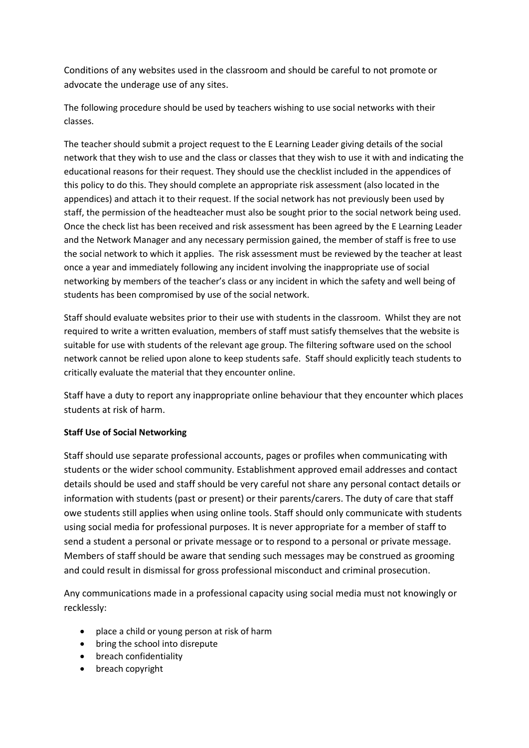Conditions of any websites used in the classroom and should be careful to not promote or advocate the underage use of any sites.

The following procedure should be used by teachers wishing to use social networks with their classes.

The teacher should submit a project request to the E Learning Leader giving details of the social network that they wish to use and the class or classes that they wish to use it with and indicating the educational reasons for their request. They should use the checklist included in the appendices of this policy to do this. They should complete an appropriate risk assessment (also located in the appendices) and attach it to their request. If the social network has not previously been used by staff, the permission of the headteacher must also be sought prior to the social network being used. Once the check list has been received and risk assessment has been agreed by the E Learning Leader and the Network Manager and any necessary permission gained, the member of staff is free to use the social network to which it applies. The risk assessment must be reviewed by the teacher at least once a year and immediately following any incident involving the inappropriate use of social networking by members of the teacher's class or any incident in which the safety and well being of students has been compromised by use of the social network.

Staff should evaluate websites prior to their use with students in the classroom. Whilst they are not required to write a written evaluation, members of staff must satisfy themselves that the website is suitable for use with students of the relevant age group. The filtering software used on the school network cannot be relied upon alone to keep students safe. Staff should explicitly teach students to critically evaluate the material that they encounter online.

Staff have a duty to report any inappropriate online behaviour that they encounter which places students at risk of harm.

## **Staff Use of Social Networking**

Staff should use separate professional accounts, pages or profiles when communicating with students or the wider school community. Establishment approved email addresses and contact details should be used and staff should be very careful not share any personal contact details or information with students (past or present) or their parents/carers. The duty of care that staff owe students still applies when using online tools. Staff should only communicate with students using social media for professional purposes. It is never appropriate for a member of staff to send a student a personal or private message or to respond to a personal or private message. Members of staff should be aware that sending such messages may be construed as grooming and could result in dismissal for gross professional misconduct and criminal prosecution.

Any communications made in a professional capacity using social media must not knowingly or recklessly:

- place a child or young person at risk of harm
- bring the school into disrepute
- breach confidentiality
- breach copyright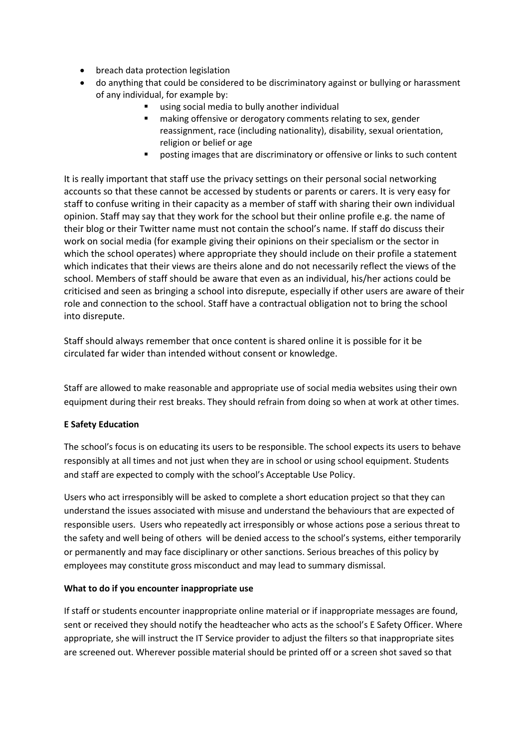- breach data protection legislation
- do anything that could be considered to be discriminatory against or bullying or harassment of any individual, for example by:
	- using social media to bully another individual
	- making offensive or derogatory comments relating to sex, gender reassignment, race (including nationality), disability, sexual orientation, religion or belief or age
	- **•** posting images that are discriminatory or offensive or links to such content

It is really important that staff use the privacy settings on their personal social networking accounts so that these cannot be accessed by students or parents or carers. It is very easy for staff to confuse writing in their capacity as a member of staff with sharing their own individual opinion. Staff may say that they work for the school but their online profile e.g. the name of their blog or their Twitter name must not contain the school's name. If staff do discuss their work on social media (for example giving their opinions on their specialism or the sector in which the school operates) where appropriate they should include on their profile a statement which indicates that their views are theirs alone and do not necessarily reflect the views of the school. Members of staff should be aware that even as an individual, his/her actions could be criticised and seen as bringing a school into disrepute, especially if other users are aware of their role and connection to the school. Staff have a contractual obligation not to bring the school into disrepute.

Staff should always remember that once content is shared online it is possible for it be circulated far wider than intended without consent or knowledge.

Staff are allowed to make reasonable and appropriate use of social media websites using their own equipment during their rest breaks. They should refrain from doing so when at work at other times.

## **E Safety Education**

The school's focus is on educating its users to be responsible. The school expects its users to behave responsibly at all times and not just when they are in school or using school equipment. Students and staff are expected to comply with the school's Acceptable Use Policy.

Users who act irresponsibly will be asked to complete a short education project so that they can understand the issues associated with misuse and understand the behaviours that are expected of responsible users. Users who repeatedly act irresponsibly or whose actions pose a serious threat to the safety and well being of others will be denied access to the school's systems, either temporarily or permanently and may face disciplinary or other sanctions. Serious breaches of this policy by employees may constitute gross misconduct and may lead to summary dismissal.

## **What to do if you encounter inappropriate use**

If staff or students encounter inappropriate online material or if inappropriate messages are found, sent or received they should notify the headteacher who acts as the school's E Safety Officer. Where appropriate, she will instruct the IT Service provider to adjust the filters so that inappropriate sites are screened out. Wherever possible material should be printed off or a screen shot saved so that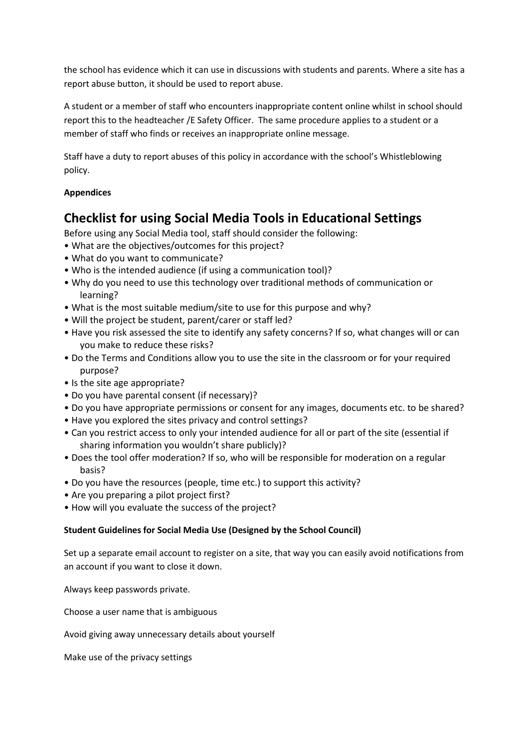the school has evidence which it can use in discussions with students and parents. Where a site has a report abuse button, it should be used to report abuse.

A student or a member of staff who encounters inappropriate content online whilst in school should report this to the headteacher /E Safety Officer. The same procedure applies to a student or a member of staff who finds or receives an inappropriate online message.

Staff have a duty to report abuses of this policy in accordance with the school's Whistleblowing policy.

# **Appendices**

# **Checklist for using Social Media Tools in Educational Settings**

Before using any Social Media tool, staff should consider the following:

- What are the objectives/outcomes for this project?
- What do you want to communicate?
- Who is the intended audience (if using a communication tool)?
- Why do you need to use this technology over traditional methods of communication or learning?
- What is the most suitable medium/site to use for this purpose and why?
- Will the project be student, parent/carer or staff led?
- Have you risk assessed the site to identify any safety concerns? If so, what changes will or can you make to reduce these risks?
- Do the Terms and Conditions allow you to use the site in the classroom or for your required purpose?
- Is the site age appropriate?
- Do you have parental consent (if necessary)?
- Do you have appropriate permissions or consent for any images, documents etc. to be shared?
- Have you explored the sites privacy and control settings?
- Can you restrict access to only your intended audience for all or part of the site (essential if sharing information you wouldn't share publicly)?
- Does the tool offer moderation? If so, who will be responsible for moderation on a regular basis?
- Do you have the resources (people, time etc.) to support this activity?
- Are you preparing a pilot project first?
- How will you evaluate the success of the project?

## **Student Guidelines for Social Media Use (Designed by the School Council)**

Set up a separate email account to register on a site, that way you can easily avoid notifications from an account if you want to close it down.

Always keep passwords private.

Choose a user name that is ambiguous

Avoid giving away unnecessary details about yourself

Make use of the privacy settings